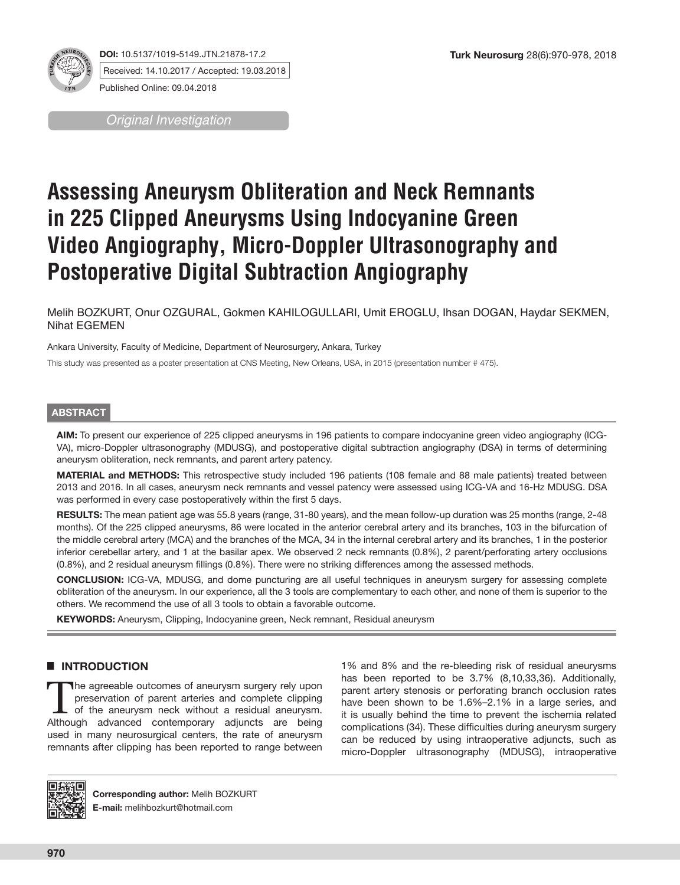

**DOI:** 10.5137/1019-5149.JTN.21878-17.2 Received: 14.10.2017 / Accepted: 19.03.2018 Published Online: 09.04.2018

*Original Investigation*

# **Assessing Aneurysm Obliteration and Neck Remnants in 225 Clipped Aneurysms Using Indocyanine Green Video Angiography, Micro-Doppler Ultrasonography and Postoperative Digital Subtraction Angiography**

Melih BOZKURT, Onur OZGURAL, Gokmen KAHILOGULLARI, Umit EROGLU, Ihsan DOGAN, Haydar SEKMEN, Nihat EGEMEN

Ankara University, Faculty of Medicine, Department of Neurosurgery, Ankara, Turkey

This study was presented as a poster presentation at CNS Meeting, New Orleans, USA, in 2015 (presentation number # 475).

# **ABSTRACT**

**AIM:** To present our experience of 225 clipped aneurysms in 196 patients to compare indocyanine green video angiography (ICG-VA), micro-Doppler ultrasonography (MDUSG), and postoperative digital subtraction angiography (DSA) in terms of determining aneurysm obliteration, neck remnants, and parent artery patency.

**MATERIAL and METHODS:** This retrospective study included 196 patients (108 female and 88 male patients) treated between 2013 and 2016. In all cases, aneurysm neck remnants and vessel patency were assessed using ICG-VA and 16-Hz MDUSG. DSA was performed in every case postoperatively within the first 5 days.

**RESULTS:** The mean patient age was 55.8 years (range, 31-80 years), and the mean follow-up duration was 25 months (range, 2-48 months). Of the 225 clipped aneurysms, 86 were located in the anterior cerebral artery and its branches, 103 in the bifurcation of the middle cerebral artery (MCA) and the branches of the MCA, 34 in the internal cerebral artery and its branches, 1 in the posterior inferior cerebellar artery, and 1 at the basilar apex. We observed 2 neck remnants (0.8%), 2 parent/perforating artery occlusions (0.8%), and 2 residual aneurysm fillings (0.8%). There were no striking differences among the assessed methods.

**CONCLUSION:** ICG-VA, MDUSG, and dome puncturing are all useful techniques in aneurysm surgery for assessing complete obliteration of the aneurysm. In our experience, all the 3 tools are complementary to each other, and none of them is superior to the others. We recommend the use of all 3 tools to obtain a favorable outcome.

**KEYWORDS:** Aneurysm, Clipping, Indocyanine green, Neck remnant, Residual aneurysm

# █ **INTRODUCTION**

The agreeable outcomes of aneurysm surgery rely upon<br>
preservation of parent arteries and complete clipping<br>
of the aneurysm neck without a residual aneurysm.<br>
Although advanced contemporary adjuncts are being preservation of parent arteries and complete clipping Although advanced contemporary adjuncts are being used in many neurosurgical centers, the rate of aneurysm remnants after clipping has been reported to range between

1% and 8% and the re-bleeding risk of residual aneurysms has been reported to be 3.7% (8,10,33,36). Additionally, parent artery stenosis or perforating branch occlusion rates have been shown to be 1.6%–2.1% in a large series, and it is usually behind the time to prevent the ischemia related complications (34). These difficulties during aneurysm surgery can be reduced by using intraoperative adjuncts, such as micro-Doppler ultrasonography (MDUSG), intraoperative



**Corresponding author:** Melih BOZKURT **E-mail:** melihbozkurt@hotmail.com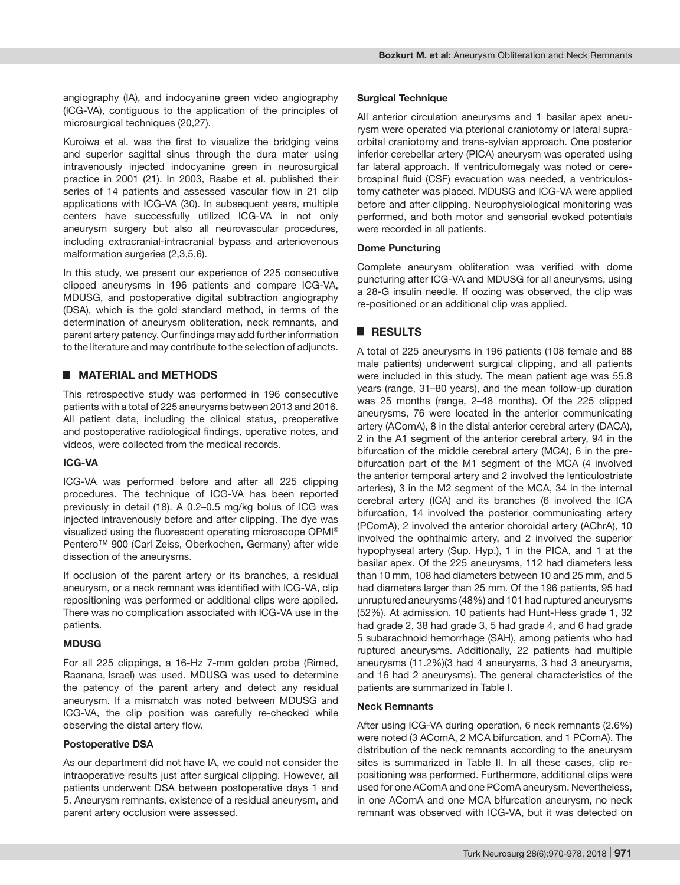angiography (IA), and indocyanine green video angiography (ICG-VA), contiguous to the application of the principles of microsurgical techniques (20,27).

Kuroiwa et al. was the first to visualize the bridging veins and superior sagittal sinus through the dura mater using intravenously injected indocyanine green in neurosurgical practice in 2001 (21). In 2003, Raabe et al. published their series of 14 patients and assessed vascular flow in 21 clip applications with ICG-VA (30). In subsequent years, multiple centers have successfully utilized ICG-VA in not only aneurysm surgery but also all neurovascular procedures, including extracranial-intracranial bypass and arteriovenous malformation surgeries (2,3,5,6).

In this study, we present our experience of 225 consecutive clipped aneurysms in 196 patients and compare ICG-VA, MDUSG, and postoperative digital subtraction angiography (DSA), which is the gold standard method, in terms of the determination of aneurysm obliteration, neck remnants, and parent artery patency. Our findings may add further information to the literature and may contribute to the selection of adjuncts.

# ■ **MATERIAL and METHODS**

This retrospective study was performed in 196 consecutive patients with a total of 225 aneurysms between 2013 and 2016. All patient data, including the clinical status, preoperative and postoperative radiological findings, operative notes, and videos, were collected from the medical records.

## **ICG-VA**

ICG-VA was performed before and after all 225 clipping procedures. The technique of ICG-VA has been reported previously in detail (18). A 0.2–0.5 mg/kg bolus of ICG was injected intravenously before and after clipping. The dye was visualized using the fluorescent operating microscope OPMI® Pentero<sup>™</sup> 900 (Carl Zeiss, Oberkochen, Germany) after wide dissection of the aneurysms.

If occlusion of the parent artery or its branches, a residual aneurysm, or a neck remnant was identified with ICG-VA, clip repositioning was performed or additional clips were applied. There was no complication associated with ICG-VA use in the patients.

## **MDUSG**

For all 225 clippings, a 16-Hz 7-mm golden probe (Rimed, Raanana, Israel) was used. MDUSG was used to determine the patency of the parent artery and detect any residual aneurysm. If a mismatch was noted between MDUSG and ICG-VA, the clip position was carefully re-checked while observing the distal artery flow.

## **Postoperative DSA**

As our department did not have IA, we could not consider the intraoperative results just after surgical clipping. However, all patients underwent DSA between postoperative days 1 and 5. Aneurysm remnants, existence of a residual aneurysm, and parent artery occlusion were assessed.

## **Surgical Technique**

All anterior circulation aneurysms and 1 basilar apex aneurysm were operated via pterional craniotomy or lateral supraorbital craniotomy and trans-sylvian approach. One posterior inferior cerebellar artery (PICA) aneurysm was operated using far lateral approach. If ventriculomegaly was noted or cerebrospinal fluid (CSF) evacuation was needed, a ventriculostomy catheter was placed. MDUSG and ICG-VA were applied before and after clipping. Neurophysiological monitoring was performed, and both motor and sensorial evoked potentials were recorded in all patients.

## **Dome Puncturing**

Complete aneurysm obliteration was verified with dome puncturing after ICG-VA and MDUSG for all aneurysms, using a 28-G insulin needle. If oozing was observed, the clip was re-positioned or an additional clip was applied.

# █ **RESULTS**

A total of 225 aneurysms in 196 patients (108 female and 88 male patients) underwent surgical clipping, and all patients were included in this study. The mean patient age was 55.8 years (range, 31–80 years), and the mean follow-up duration was 25 months (range, 2–48 months). Of the 225 clipped aneurysms, 76 were located in the anterior communicating artery (AComA), 8 in the distal anterior cerebral artery (DACA), 2 in the A1 segment of the anterior cerebral artery, 94 in the bifurcation of the middle cerebral artery (MCA), 6 in the prebifurcation part of the M1 segment of the MCA (4 involved the anterior temporal artery and 2 involved the lenticulostriate arteries), 3 in the M2 segment of the MCA, 34 in the internal cerebral artery (ICA) and its branches (6 involved the ICA bifurcation, 14 involved the posterior communicating artery (PComA), 2 involved the anterior choroidal artery (AChrA), 10 involved the ophthalmic artery, and 2 involved the superior hypophyseal artery (Sup. Hyp.), 1 in the PICA, and 1 at the basilar apex. Of the 225 aneurysms, 112 had diameters less than 10 mm, 108 had diameters between 10 and 25 mm, and 5 had diameters larger than 25 mm. Of the 196 patients, 95 had unruptured aneurysms (48%) and 101 had ruptured aneurysms (52%). At admission, 10 patients had Hunt-Hess grade 1, 32 had grade 2, 38 had grade 3, 5 had grade 4, and 6 had grade 5 subarachnoid hemorrhage (SAH), among patients who had ruptured aneurysms. Additionally, 22 patients had multiple aneurysms (11.2%)(3 had 4 aneurysms, 3 had 3 aneurysms, and 16 had 2 aneurysms). The general characteristics of the patients are summarized in Table I.

## **Neck Remnants**

After using ICG-VA during operation, 6 neck remnants (2.6%) were noted (3 AComA, 2 MCA bifurcation, and 1 PComA). The distribution of the neck remnants according to the aneurysm sites is summarized in Table II. In all these cases, clip repositioning was performed. Furthermore, additional clips were used for one AComA and one PComA aneurysm. Nevertheless, in one AComA and one MCA bifurcation aneurysm, no neck remnant was observed with ICG-VA, but it was detected on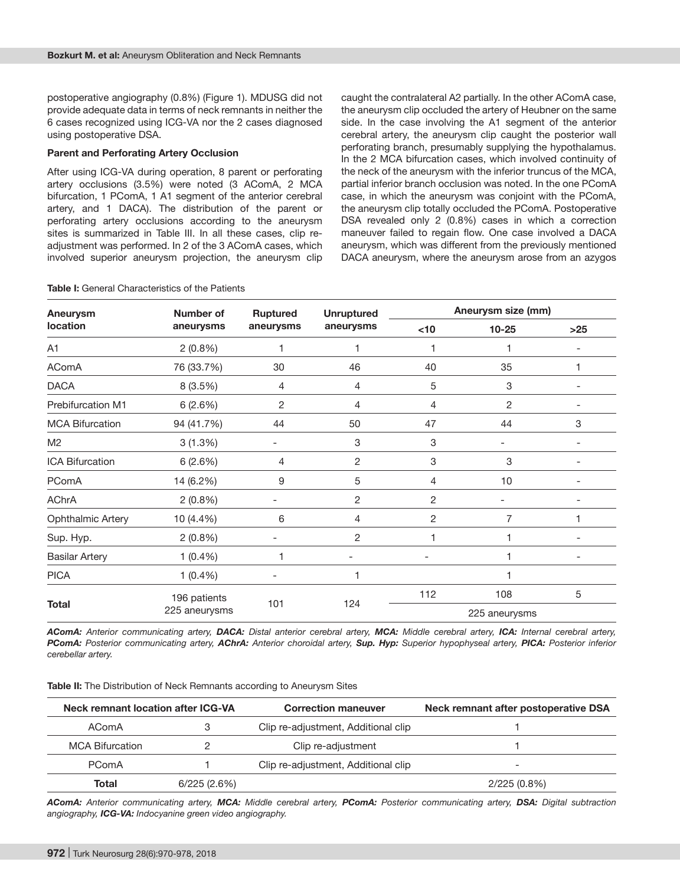postoperative angiography (0.8%) (Figure 1). MDUSG did not provide adequate data in terms of neck remnants in neither the 6 cases recognized using ICG-VA nor the 2 cases diagnosed using postoperative DSA.

### **Parent and Perforating Artery Occlusion**

After using ICG-VA during operation, 8 parent or perforating artery occlusions (3.5%) were noted (3 AComA, 2 MCA bifurcation, 1 PComA, 1 A1 segment of the anterior cerebral artery, and 1 DACA). The distribution of the parent or perforating artery occlusions according to the aneurysm sites is summarized in Table III. In all these cases, clip readjustment was performed. In 2 of the 3 AComA cases, which involved superior aneurysm projection, the aneurysm clip caught the contralateral A2 partially. In the other AComA case, the aneurysm clip occluded the artery of Heubner on the same side. In the case involving the A1 segment of the anterior cerebral artery, the aneurysm clip caught the posterior wall perforating branch, presumably supplying the hypothalamus. In the 2 MCA bifurcation cases, which involved continuity of the neck of the aneurysm with the inferior truncus of the MCA, partial inferior branch occlusion was noted. In the one PComA case, in which the aneurysm was conjoint with the PComA, the aneurysm clip totally occluded the PComA. Postoperative DSA revealed only 2 (0.8%) cases in which a correction maneuver failed to regain flow. One case involved a DACA aneurysm, which was different from the previously mentioned DACA aneurysm, where the aneurysm arose from an azygos

| Aneurysm                 | Number of  | <b>Ruptured</b>                      | <b>Unruptured</b> | Aneurysm size (mm) |                |     |
|--------------------------|------------|--------------------------------------|-------------------|--------------------|----------------|-----|
| <b>location</b>          | aneurysms  | aneurysms                            | aneurysms         | <10                | $10 - 25$      | >25 |
| A1                       | $2(0.8\%)$ | 1                                    | 1                 |                    | 1              |     |
| AComA                    | 76 (33.7%) | 30                                   | 46                | 40                 | 35             |     |
| <b>DACA</b>              | 8 (3.5%)   | 4                                    | 4                 | 5                  | 3              |     |
| <b>Prebifurcation M1</b> | 6(2.6%)    | $\overline{2}$                       | $\overline{4}$    | 4                  | $\overline{c}$ |     |
| <b>MCA Bifurcation</b>   | 94 (41.7%) | 44                                   | 50                | 47                 | 44             | 3   |
| M <sub>2</sub>           | 3(1.3%)    |                                      | 3                 | 3                  |                |     |
| ICA Bifurcation          | 6(2.6%)    | 4                                    | 2                 | 3                  | 3              |     |
| PComA                    | 14 (6.2%)  | 9                                    | 5                 | 4                  | 10             |     |
| <b>AChrA</b>             | $2(0.8\%)$ |                                      | 2                 | $\overline{2}$     |                |     |
| <b>Ophthalmic Artery</b> | 10 (4.4%)  | 6                                    | $\overline{4}$    | 2                  | $\overline{7}$ |     |
| Sup. Hyp.                | $2(0.8\%)$ |                                      | $\overline{c}$    |                    |                |     |
| <b>Basilar Artery</b>    | $1(0.4\%)$ | 1                                    |                   |                    | 1              |     |
| <b>PICA</b>              | $1(0.4\%)$ |                                      | $\overline{1}$    |                    | 1              |     |
| <b>Total</b>             |            | 196 patients<br>101<br>225 aneurysms | 124               | 112                | 108            | 5   |
|                          |            |                                      |                   | 225 aneurysms      |                |     |

**Table I:** General Characteristics of the Patients

*AComA: Anterior communicating artery, DACA: Distal anterior cerebral artery, MCA: Middle cerebral artery, ICA: Internal cerebral artery, PComA: Posterior communicating artery, AChrA: Anterior choroidal artery, Sup. Hyp: Superior hypophyseal artery, PICA: Posterior inferior cerebellar artery.* 

**Table II:** The Distribution of Neck Remnants according to Aneurysm Sites

| Neck remnant location after ICG-VA |             | <b>Correction maneuver</b>          | Neck remnant after postoperative DSA |
|------------------------------------|-------------|-------------------------------------|--------------------------------------|
| AComA                              |             | Clip re-adjustment, Additional clip |                                      |
| <b>MCA Bifurcation</b>             |             | Clip re-adjustment                  |                                      |
| PComA                              |             | Clip re-adjustment, Additional clip | -                                    |
| Total                              | 6/225(2.6%) |                                     | $2/225(0.8\%)$                       |

*AComA: Anterior communicating artery, MCA: Middle cerebral artery, PComA: Posterior communicating artery, DSA: Digital subtraction angiography, ICG-VA: Indocyanine green video angiography.*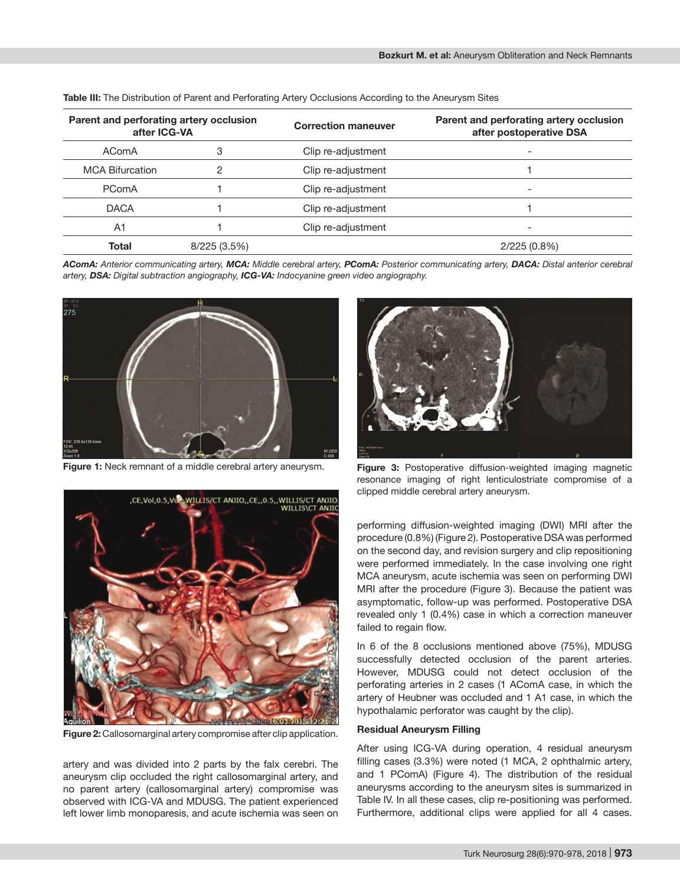| Parent and perforating artery occlusion<br>after ICG-VA |              | <b>Correction maneuver</b> | Parent and perforating artery occlusion<br>after postoperative DSA |  |
|---------------------------------------------------------|--------------|----------------------------|--------------------------------------------------------------------|--|
| AComA                                                   | 3            | Clip re-adjustment         |                                                                    |  |
| <b>MCA Bifurcation</b>                                  | 2            | Clip re-adjustment         |                                                                    |  |
| PComA                                                   |              | Clip re-adjustment         |                                                                    |  |
| <b>DACA</b>                                             |              | Clip re-adjustment         |                                                                    |  |
| A1                                                      |              | Clip re-adjustment         |                                                                    |  |
| <b>Total</b>                                            | 8/225 (3.5%) |                            | 2/225(0.8%)                                                        |  |

**Table III:** The Distribution of Parent and Perforating Artery Occlusions According to the Aneurysm Sites

*AComA: Anterior communicating artery, MCA: Middle cerebral artery, PComA: Posterior communicating artery, DACA: Distal anterior cerebral artery, DSA: Digital subtraction angiography, ICG-VA: Indocyanine green video angiography.*



**Figure 1:** Neck remnant of a middle cerebral artery aneurysm.



**Figure 2:** Callosomarginal artery compromise after clip application.

artery and was divided into 2 parts by the falx cerebri. The aneurysm clip occluded the right callosomarginal artery, and no parent artery (callosomarginal artery) compromise was observed with ICG-VA and MDUSG. The patient experienced left lower limb monoparesis, and acute ischemia was seen on



**Figure 3:** Postoperative diffusion-weighted imaging magnetic resonance imaging of right lenticulostriate compromise of a clipped middle cerebral artery aneurysm.

performing diffusion-weighted imaging (DWI) MRI after the procedure (0.8%) (Figure 2). Postoperative DSA was performed on the second day, and revision surgery and clip repositioning were performed immediately. In the case involving one right MCA aneurysm, acute ischemia was seen on performing DWI MRI after the procedure (Figure 3). Because the patient was asymptomatic, follow-up was performed. Postoperative DSA revealed only 1 (0.4%) case in which a correction maneuver failed to regain flow.

In 6 of the 8 occlusions mentioned above (75%), MDUSG successfully detected occlusion of the parent arteries. However, MDUSG could not detect occlusion of the perforating arteries in 2 cases (1 AComA case, in which the artery of Heubner was occluded and 1 A1 case, in which the hypothalamic perforator was caught by the clip).

### **Residual Aneurysm Filling**

After using ICG-VA during operation, 4 residual aneurysm filling cases (3.3%) were noted (1 MCA, 2 ophthalmic artery, and 1 PComA) (Figure 4). The distribution of the residual aneurysms according to the aneurysm sites is summarized in Table IV. In all these cases, clip re-positioning was performed. Furthermore, additional clips were applied for all 4 cases.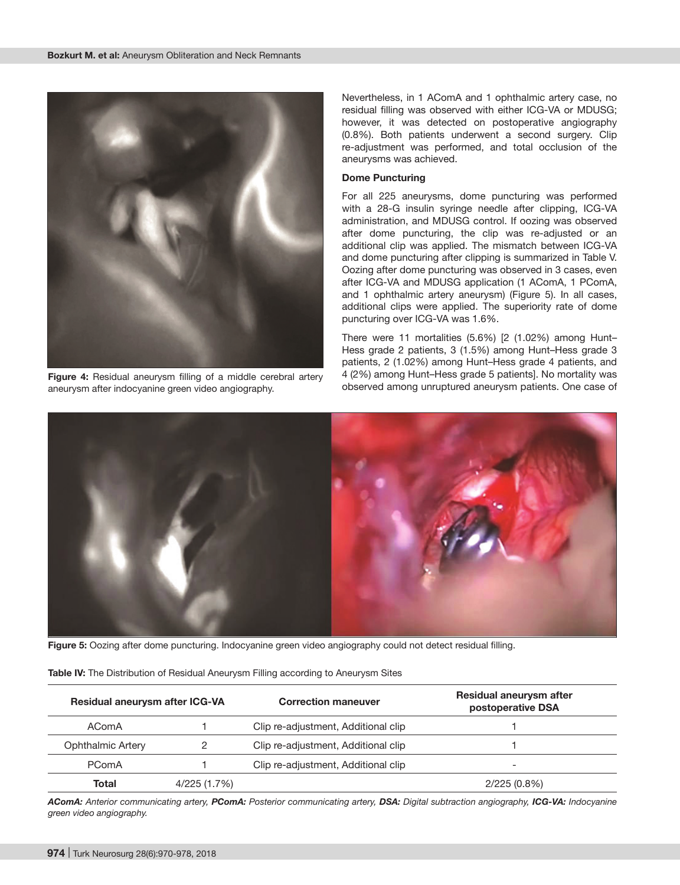

**Figure 4:** Residual aneurysm filling of a middle cerebral artery aneurysm after indocyanine green video angiography.

Nevertheless, in 1 AComA and 1 ophthalmic artery case, no residual filling was observed with either ICG-VA or MDUSG; however, it was detected on postoperative angiography (0.8%). Both patients underwent a second surgery. Clip re-adjustment was performed, and total occlusion of the aneurysms was achieved.

#### **Dome Puncturing**

For all 225 aneurysms, dome puncturing was performed with a 28-G insulin syringe needle after clipping, ICG-VA administration, and MDUSG control. If oozing was observed after dome puncturing, the clip was re-adjusted or an additional clip was applied. The mismatch between ICG-VA and dome puncturing after clipping is summarized in Table V. Oozing after dome puncturing was observed in 3 cases, even after ICG-VA and MDUSG application (1 AComA, 1 PComA, and 1 ophthalmic artery aneurysm) (Figure 5). In all cases, additional clips were applied. The superiority rate of dome puncturing over ICG-VA was 1.6%.

There were 11 mortalities (5.6%) [2 (1.02%) among Hunt– Hess grade 2 patients, 3 (1.5%) among Hunt–Hess grade 3 patients, 2 (1.02%) among Hunt–Hess grade 4 patients, and 4 (2%) among Hunt–Hess grade 5 patients]. No mortality was observed among unruptured aneurysm patients. One case of



**Figure 5:** Oozing after dome puncturing. Indocyanine green video angiography could not detect residual filling.

| Residual aneurysm after ICG-VA |              | <b>Correction maneuver</b>          | Residual aneurysm after<br>postoperative DSA |
|--------------------------------|--------------|-------------------------------------|----------------------------------------------|
| AComA                          |              | Clip re-adjustment, Additional clip |                                              |
| Ophthalmic Artery              |              | Clip re-adjustment, Additional clip |                                              |
| PComA                          |              | Clip re-adjustment, Additional clip | $\overline{\phantom{0}}$                     |
| Total                          | 4/225 (1.7%) |                                     | $2/225(0.8\%)$                               |

*AComA: Anterior communicating artery, PComA: Posterior communicating artery, DSA: Digital subtraction angiography, ICG-VA: Indocyanine green video angiography.*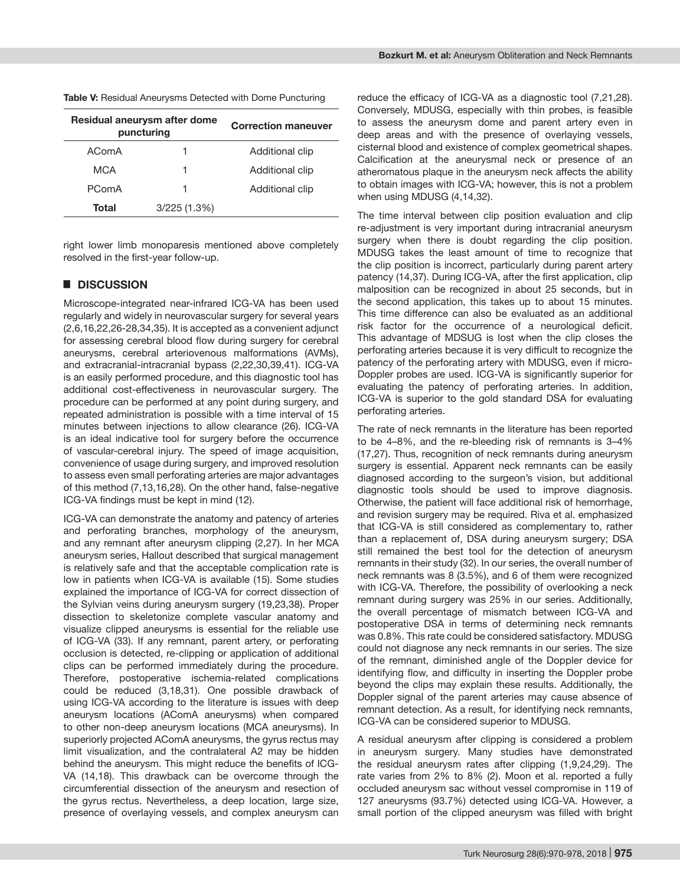| Residual aneurysm after dome<br>puncturing | <b>Correction maneuver</b> |                 |
|--------------------------------------------|----------------------------|-----------------|
| AComA                                      |                            | Additional clip |
| MCA                                        |                            | Additional clip |

PComA 1 Additional clip

**Total** 3/225 (1.3%)

**Table V:** Residual Aneurysms Detected with Dome Puncturing

right lower limb monoparesis mentioned above completely resolved in the first-year follow-up.

# █ **DISCUSSION**

Microscope-integrated near-infrared ICG-VA has been used regularly and widely in neurovascular surgery for several years (2,6,16,22,26-28,34,35). It is accepted as a convenient adjunct for assessing cerebral blood flow during surgery for cerebral aneurysms, cerebral arteriovenous malformations (AVMs), and extracranial-intracranial bypass (2,22,30,39,41). ICG-VA is an easily performed procedure, and this diagnostic tool has additional cost-effectiveness in neurovascular surgery. The procedure can be performed at any point during surgery, and repeated administration is possible with a time interval of 15 minutes between injections to allow clearance (26). ICG-VA is an ideal indicative tool for surgery before the occurrence of vascular-cerebral injury. The speed of image acquisition, convenience of usage during surgery, and improved resolution to assess even small perforating arteries are major advantages of this method (7,13,16,28). On the other hand, false-negative ICG-VA findings must be kept in mind (12).

ICG-VA can demonstrate the anatomy and patency of arteries and perforating branches, morphology of the aneurysm, and any remnant after aneurysm clipping (2,27). In her MCA aneurysm series, Hallout described that surgical management is relatively safe and that the acceptable complication rate is low in patients when ICG-VA is available (15). Some studies explained the importance of ICG-VA for correct dissection of the Sylvian veins during aneurysm surgery (19,23,38). Proper dissection to skeletonize complete vascular anatomy and visualize clipped aneurysms is essential for the reliable use of ICG-VA (33). If any remnant, parent artery, or perforating occlusion is detected, re-clipping or application of additional clips can be performed immediately during the procedure. Therefore, postoperative ischemia-related complications could be reduced (3,18,31). One possible drawback of using ICG-VA according to the literature is issues with deep aneurysm locations (AComA aneurysms) when compared to other non-deep aneurysm locations (MCA aneurysms). In superiorly projected AComA aneurysms, the gyrus rectus may limit visualization, and the contralateral A2 may be hidden behind the aneurysm. This might reduce the benefits of ICG-VA (14,18). This drawback can be overcome through the circumferential dissection of the aneurysm and resection of the gyrus rectus. Nevertheless, a deep location, large size, presence of overlaying vessels, and complex aneurysm can reduce the efficacy of ICG-VA as a diagnostic tool (7,21,28). Conversely, MDUSG, especially with thin probes, is feasible to assess the aneurysm dome and parent artery even in deep areas and with the presence of overlaying vessels, cisternal blood and existence of complex geometrical shapes. Calcification at the aneurysmal neck or presence of an atheromatous plaque in the aneurysm neck affects the ability to obtain images with ICG-VA; however, this is not a problem when using MDUSG (4,14,32).

The time interval between clip position evaluation and clip re-adjustment is very important during intracranial aneurysm surgery when there is doubt regarding the clip position. MDUSG takes the least amount of time to recognize that the clip position is incorrect, particularly during parent artery patency (14,37). During ICG-VA, after the first application, clip malposition can be recognized in about 25 seconds, but in the second application, this takes up to about 15 minutes. This time difference can also be evaluated as an additional risk factor for the occurrence of a neurological deficit. This advantage of MDSUG is lost when the clip closes the perforating arteries because it is very difficult to recognize the patency of the perforating artery with MDUSG, even if micro-Doppler probes are used. ICG-VA is significantly superior for evaluating the patency of perforating arteries. In addition, ICG-VA is superior to the gold standard DSA for evaluating perforating arteries.

The rate of neck remnants in the literature has been reported to be 4–8%, and the re-bleeding risk of remnants is 3–4% (17,27). Thus, recognition of neck remnants during aneurysm surgery is essential. Apparent neck remnants can be easily diagnosed according to the surgeon's vision, but additional diagnostic tools should be used to improve diagnosis. Otherwise, the patient will face additional risk of hemorrhage, and revision surgery may be required. Riva et al. emphasized that ICG-VA is still considered as complementary to, rather than a replacement of, DSA during aneurysm surgery; DSA still remained the best tool for the detection of aneurysm remnants in their study (32). In our series, the overall number of neck remnants was 8 (3.5%), and 6 of them were recognized with ICG-VA. Therefore, the possibility of overlooking a neck remnant during surgery was 25% in our series. Additionally, the overall percentage of mismatch between ICG-VA and postoperative DSA in terms of determining neck remnants was 0.8%. This rate could be considered satisfactory. MDUSG could not diagnose any neck remnants in our series. The size of the remnant, diminished angle of the Doppler device for identifying flow, and difficulty in inserting the Doppler probe beyond the clips may explain these results. Additionally, the Doppler signal of the parent arteries may cause absence of remnant detection. As a result, for identifying neck remnants, ICG-VA can be considered superior to MDUSG.

A residual aneurysm after clipping is considered a problem in aneurysm surgery. Many studies have demonstrated the residual aneurysm rates after clipping (1,9,24,29). The rate varies from 2% to 8% (2). Moon et al. reported a fully occluded aneurysm sac without vessel compromise in 119 of 127 aneurysms (93.7%) detected using ICG-VA. However, a small portion of the clipped aneurysm was filled with bright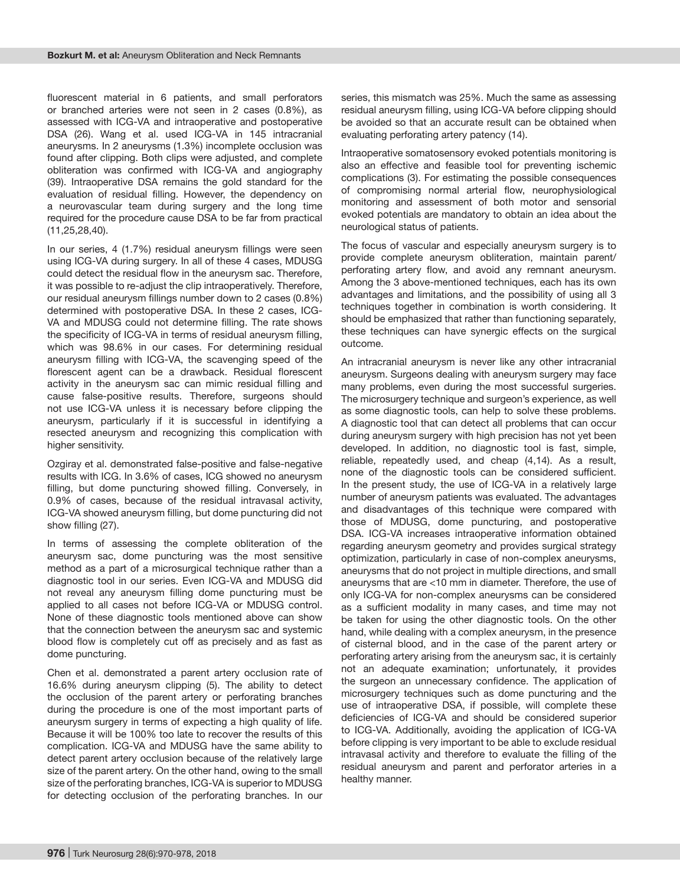fluorescent material in 6 patients, and small perforators or branched arteries were not seen in 2 cases (0.8%), as assessed with ICG-VA and intraoperative and postoperative DSA (26). Wang et al. used ICG-VA in 145 intracranial aneurysms. In 2 aneurysms (1.3%) incomplete occlusion was found after clipping. Both clips were adjusted, and complete obliteration was confirmed with ICG-VA and angiography (39). Intraoperative DSA remains the gold standard for the evaluation of residual filling. However, the dependency on a neurovascular team during surgery and the long time required for the procedure cause DSA to be far from practical (11,25,28,40).

In our series, 4 (1.7%) residual aneurysm fillings were seen using ICG-VA during surgery. In all of these 4 cases, MDUSG could detect the residual flow in the aneurysm sac. Therefore, it was possible to re-adjust the clip intraoperatively. Therefore, our residual aneurysm fillings number down to 2 cases (0.8%) determined with postoperative DSA. In these 2 cases, ICG-VA and MDUSG could not determine filling. The rate shows the specificity of ICG-VA in terms of residual aneurysm filling, which was 98.6% in our cases. For determining residual aneurysm filling with ICG-VA, the scavenging speed of the florescent agent can be a drawback. Residual florescent activity in the aneurysm sac can mimic residual filling and cause false-positive results. Therefore, surgeons should not use ICG-VA unless it is necessary before clipping the aneurysm, particularly if it is successful in identifying a resected aneurysm and recognizing this complication with higher sensitivity.

Ozgiray et al. demonstrated false-positive and false-negative results with ICG. In 3.6% of cases, ICG showed no aneurysm filling, but dome puncturing showed filling. Conversely, in 0.9% of cases, because of the residual intravasal activity, ICG-VA showed aneurysm filling, but dome puncturing did not show filling (27).

In terms of assessing the complete obliteration of the aneurysm sac, dome puncturing was the most sensitive method as a part of a microsurgical technique rather than a diagnostic tool in our series. Even ICG-VA and MDUSG did not reveal any aneurysm filling dome puncturing must be applied to all cases not before ICG-VA or MDUSG control. None of these diagnostic tools mentioned above can show that the connection between the aneurysm sac and systemic blood flow is completely cut off as precisely and as fast as dome puncturing.

Chen et al. demonstrated a parent artery occlusion rate of 16.6% during aneurysm clipping (5). The ability to detect the occlusion of the parent artery or perforating branches during the procedure is one of the most important parts of aneurysm surgery in terms of expecting a high quality of life. Because it will be 100% too late to recover the results of this complication. ICG-VA and MDUSG have the same ability to detect parent artery occlusion because of the relatively large size of the parent artery. On the other hand, owing to the small size of the perforating branches, ICG-VA is superior to MDUSG for detecting occlusion of the perforating branches. In our

series, this mismatch was 25%. Much the same as assessing residual aneurysm filling, using ICG-VA before clipping should be avoided so that an accurate result can be obtained when evaluating perforating artery patency (14).

Intraoperative somatosensory evoked potentials monitoring is also an effective and feasible tool for preventing ischemic complications (3). For estimating the possible consequences of compromising normal arterial flow, neurophysiological monitoring and assessment of both motor and sensorial evoked potentials are mandatory to obtain an idea about the neurological status of patients.

The focus of vascular and especially aneurysm surgery is to provide complete aneurysm obliteration, maintain parent/ perforating artery flow, and avoid any remnant aneurysm. Among the 3 above-mentioned techniques, each has its own advantages and limitations, and the possibility of using all 3 techniques together in combination is worth considering. It should be emphasized that rather than functioning separately, these techniques can have synergic effects on the surgical outcome.

An intracranial aneurysm is never like any other intracranial aneurysm. Surgeons dealing with aneurysm surgery may face many problems, even during the most successful surgeries. The microsurgery technique and surgeon's experience, as well as some diagnostic tools, can help to solve these problems. A diagnostic tool that can detect all problems that can occur during aneurysm surgery with high precision has not yet been developed. In addition, no diagnostic tool is fast, simple, reliable, repeatedly used, and cheap (4,14). As a result, none of the diagnostic tools can be considered sufficient. In the present study, the use of ICG-VA in a relatively large number of aneurysm patients was evaluated. The advantages and disadvantages of this technique were compared with those of MDUSG, dome puncturing, and postoperative DSA. ICG-VA increases intraoperative information obtained regarding aneurysm geometry and provides surgical strategy optimization, particularly in case of non-complex aneurysms, aneurysms that do not project in multiple directions, and small aneurysms that are <10 mm in diameter. Therefore, the use of only ICG-VA for non-complex aneurysms can be considered as a sufficient modality in many cases, and time may not be taken for using the other diagnostic tools. On the other hand, while dealing with a complex aneurysm, in the presence of cisternal blood, and in the case of the parent artery or perforating artery arising from the aneurysm sac, it is certainly not an adequate examination; unfortunately, it provides the surgeon an unnecessary confidence. The application of microsurgery techniques such as dome puncturing and the use of intraoperative DSA, if possible, will complete these deficiencies of ICG-VA and should be considered superior to ICG-VA. Additionally, avoiding the application of ICG-VA before clipping is very important to be able to exclude residual intravasal activity and therefore to evaluate the filling of the residual aneurysm and parent and perforator arteries in a healthy manner.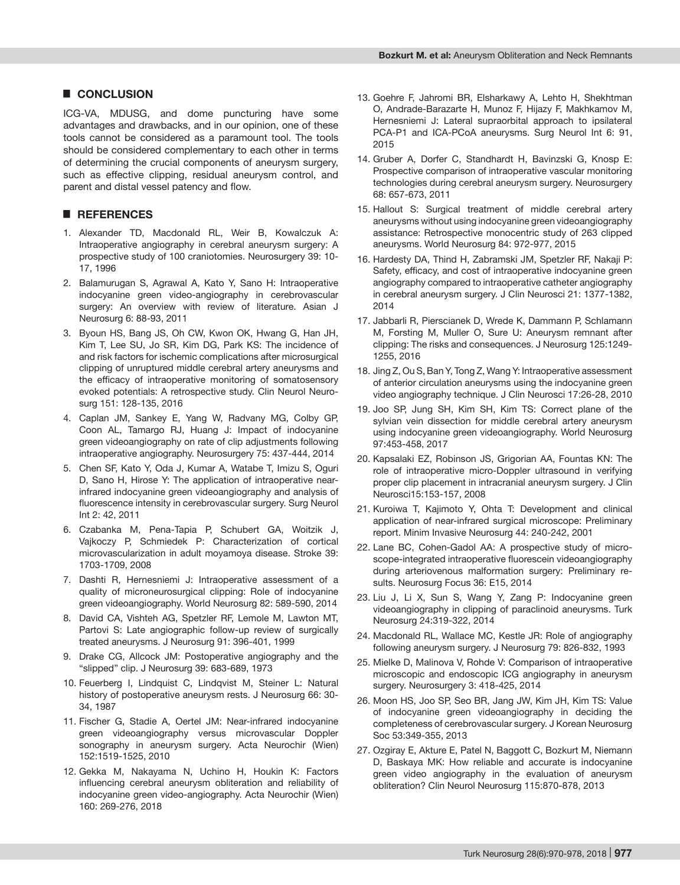# █ **CONCLUSION**

ICG-VA, MDUSG, and dome puncturing have some advantages and drawbacks, and in our opinion, one of these tools cannot be considered as a paramount tool. The tools should be considered complementary to each other in terms of determining the crucial components of aneurysm surgery, such as effective clipping, residual aneurysm control, and parent and distal vessel patency and flow.

# █ **REFERENCES**

- 1. Alexander TD, Macdonald RL, Weir B, Kowalczuk A: Intraoperative angiography in cerebral aneurysm surgery: A prospective study of 100 craniotomies. Neurosurgery 39: 10- 17, 1996
- 2. Balamurugan S, Agrawal A, Kato Y, Sano H: Intraoperative indocyanine green video-angiography in cerebrovascular surgery: An overview with review of literature. Asian J Neurosurg 6: 88-93, 2011
- 3. Byoun HS, Bang JS, Oh CW, Kwon OK, Hwang G, Han JH, Kim T, Lee SU, Jo SR, Kim DG, Park KS: The incidence of and risk factors for ischemic complications after microsurgical clipping of unruptured middle cerebral artery aneurysms and the efficacy of intraoperative monitoring of somatosensory evoked potentials: A retrospective study. Clin Neurol Neurosurg 151: 128-135, 2016
- 4. Caplan JM, Sankey E, Yang W, Radvany MG, Colby GP, Coon AL, Tamargo RJ, Huang J: Impact of indocyanine green videoangiography on rate of clip adjustments following intraoperative angiography. Neurosurgery 75: 437-444, 2014
- 5. Chen SF, Kato Y, Oda J, Kumar A, Watabe T, Imizu S, Oguri D, Sano H, Hirose Y: The application of intraoperative nearinfrared indocyanine green videoangiography and analysis of fluorescence intensity in cerebrovascular surgery. Surg Neurol Int 2: 42, 2011
- 6. Czabanka M, Pena-Tapia P, Schubert GA, Woitzik J, Vajkoczy P, Schmiedek P: Characterization of cortical microvascularization in adult moyamoya disease. Stroke 39: 1703-1709, 2008
- 7. Dashti R, Hernesniemi J: Intraoperative assessment of a quality of microneurosurgical clipping: Role of indocyanine green videoangiography. World Neurosurg 82: 589-590, 2014
- 8. David CA, Vishteh AG, Spetzler RF, Lemole M, Lawton MT, Partovi S: Late angiographic follow-up review of surgically treated aneurysms. J Neurosurg 91: 396-401, 1999
- 9. Drake CG, Allcock JM: Postoperative angiography and the "slipped" clip. J Neurosurg 39: 683-689, 1973
- 10. Feuerberg I, Lindquist C, Lindqvist M, Steiner L: Natural history of postoperative aneurysm rests. J Neurosurg 66: 30- 34, 1987
- 11. Fischer G, Stadie A, Oertel JM: Near-infrared indocyanine green videoangiography versus microvascular Doppler sonography in aneurysm surgery. Acta Neurochir (Wien) 152:1519-1525, 2010
- 12. Gekka M, Nakayama N, Uchino H, Houkin K: Factors influencing cerebral aneurysm obliteration and reliability of indocyanine green video-angiography. Acta Neurochir (Wien) 160: 269-276, 2018
- 13. Goehre F, Jahromi BR, Elsharkawy A, Lehto H, Shekhtman O, Andrade-Barazarte H, Munoz F, Hijazy F, Makhkamov M, Hernesniemi J: Lateral supraorbital approach to ipsilateral PCA-P1 and ICA-PCoA aneurysms. Surg Neurol Int 6: 91, 2015
- 14. Gruber A, Dorfer C, Standhardt H, Bavinzski G, Knosp E: Prospective comparison of intraoperative vascular monitoring technologies during cerebral aneurysm surgery. Neurosurgery 68: 657-673, 2011
- 15. Hallout S: Surgical treatment of middle cerebral artery aneurysms without using indocyanine green videoangiography assistance: Retrospective monocentric study of 263 clipped aneurysms. World Neurosurg 84: 972-977, 2015
- 16. Hardesty DA, Thind H, Zabramski JM, Spetzler RF, Nakaji P: Safety, efficacy, and cost of intraoperative indocyanine green angiography compared to intraoperative catheter angiography in cerebral aneurysm surgery. J Clin Neurosci 21: 1377-1382, 2014
- 17. Jabbarli R, Pierscianek D, Wrede K, Dammann P, Schlamann M, Forsting M, Muller O, Sure U: Aneurysm remnant after clipping: The risks and consequences. J Neurosurg 125:1249- 1255, 2016
- 18. Jing Z, Ou S, Ban Y, Tong Z, Wang Y: Intraoperative assessment of anterior circulation aneurysms using the indocyanine green video angiography technique. J Clin Neurosci 17:26-28, 2010
- 19. Joo SP, Jung SH, Kim SH, Kim TS: Correct plane of the sylvian vein dissection for middle cerebral artery aneurysm using indocyanine green videoangiography. World Neurosurg 97:453-458, 2017
- 20. Kapsalaki EZ, Robinson JS, Grigorian AA, Fountas KN: The role of intraoperative micro-Doppler ultrasound in verifying proper clip placement in intracranial aneurysm surgery. J Clin Neurosci15:153-157, 2008
- 21. Kuroiwa T, Kajimoto Y, Ohta T: Development and clinical application of near-infrared surgical microscope: Preliminary report. Minim Invasive Neurosurg 44: 240-242, 2001
- 22. Lane BC, Cohen-Gadol AA: A prospective study of microscope-integrated intraoperative fluorescein videoangiography during arteriovenous malformation surgery: Preliminary results. Neurosurg Focus 36: E15, 2014
- 23. Liu J, Li X, Sun S, Wang Y, Zang P: Indocyanine green videoangiography in clipping of paraclinoid aneurysms. Turk Neurosurg 24:319-322, 2014
- 24. Macdonald RL, Wallace MC, Kestle JR: Role of angiography following aneurysm surgery. J Neurosurg 79: 826-832, 1993
- 25. Mielke D, Malinova V, Rohde V: Comparison of intraoperative microscopic and endoscopic ICG angiography in aneurysm surgery. Neurosurgery 3: 418-425, 2014
- 26. Moon HS, Joo SP, Seo BR, Jang JW, Kim JH, Kim TS: Value of indocyanine green videoangiography in deciding the completeness of cerebrovascular surgery. J Korean Neurosurg Soc 53:349-355, 2013
- 27. Ozgiray E, Akture E, Patel N, Baggott C, Bozkurt M, Niemann D, Baskaya MK: How reliable and accurate is indocyanine green video angiography in the evaluation of aneurysm obliteration? Clin Neurol Neurosurg 115:870-878, 2013